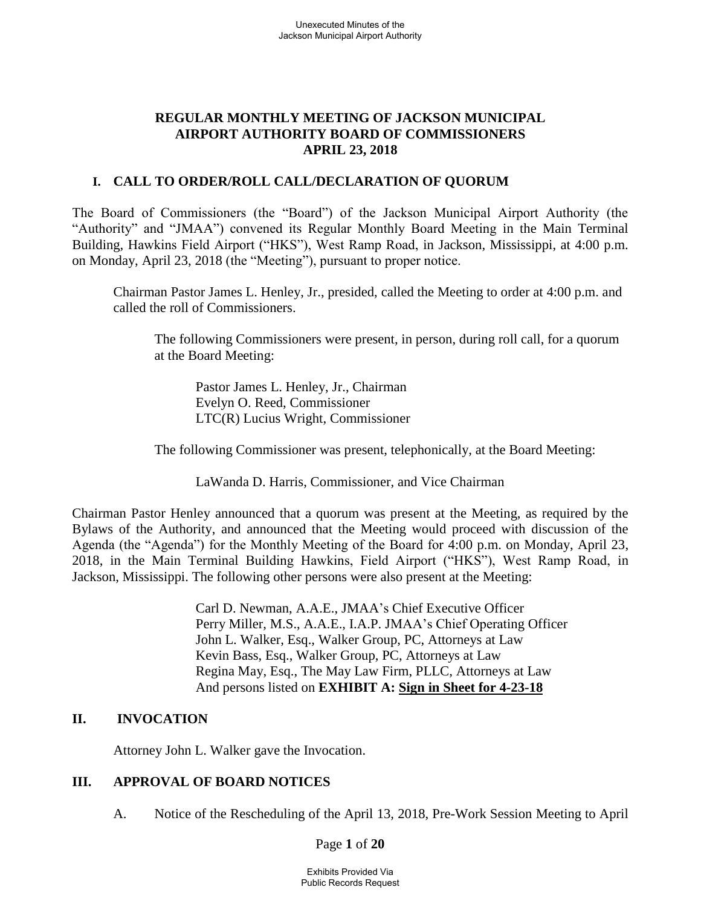## **REGULAR MONTHLY MEETING OF JACKSON MUNICIPAL AIRPORT AUTHORITY BOARD OF COMMISSIONERS APRIL 23, 2018**

## **I. CALL TO ORDER/ROLL CALL/DECLARATION OF QUORUM**

The Board of Commissioners (the "Board") of the Jackson Municipal Airport Authority (the "Authority" and "JMAA") convened its Regular Monthly Board Meeting in the Main Terminal Building, Hawkins Field Airport ("HKS"), West Ramp Road, in Jackson, Mississippi, at 4:00 p.m. on Monday, April 23, 2018 (the "Meeting"), pursuant to proper notice.

Chairman Pastor James L. Henley, Jr., presided, called the Meeting to order at 4:00 p.m. and called the roll of Commissioners.

The following Commissioners were present, in person, during roll call, for a quorum at the Board Meeting:

Pastor James L. Henley, Jr., Chairman Evelyn O. Reed, Commissioner LTC(R) Lucius Wright, Commissioner

The following Commissioner was present, telephonically, at the Board Meeting:

LaWanda D. Harris, Commissioner, and Vice Chairman

Chairman Pastor Henley announced that a quorum was present at the Meeting, as required by the Bylaws of the Authority, and announced that the Meeting would proceed with discussion of the Agenda (the "Agenda") for the Monthly Meeting of the Board for 4:00 p.m. on Monday, April 23, 2018, in the Main Terminal Building Hawkins, Field Airport ("HKS"), West Ramp Road, in Jackson, Mississippi. The following other persons were also present at the Meeting:

> Carl D. Newman, A.A.E., JMAA's Chief Executive Officer Perry Miller, M.S., A.A.E., I.A.P. JMAA's Chief Operating Officer John L. Walker, Esq., Walker Group, PC, Attorneys at Law Kevin Bass, Esq., Walker Group, PC, Attorneys at Law Regina May, Esq., The May Law Firm, PLLC, Attorneys at Law And persons listed on **EXHIBIT A: Sign [in](../../2017-07-27%20Board%20Meeting/2016-09-22%20Board%20Meeting/Rescheduled%20Regular%20Board%20Meeting%20Sign%20in%20Sheet%20August%2029%202016.pdf) [Sheet](../../2017-07-27%20Board%20Meeting/Drafts/2017-MAR%2027-bmr.pdf) for 4-23-18**

## **II. INVOCATION**

Attorney John L. Walker gave the Invocation.

## **III. APPROVAL OF BOARD NOTICES**

A. Notice of the Rescheduling of the April 13, 2018, Pre-Work Session Meeting to April

Page **1** of **20**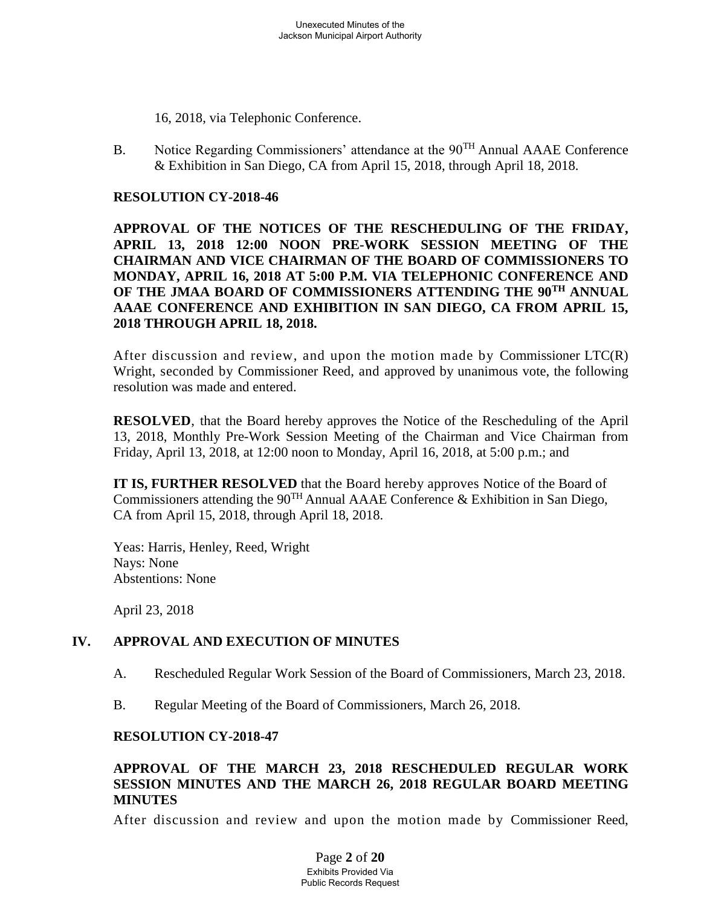16, 2018, via Telephonic Conference.

B. Notice Regarding Commissioners' attendance at the 90<sup>TH</sup> Annual AAAE Conference & Exhibition in San Diego, CA from April 15, 2018, through April 18, 2018.

#### **RESOLUTION CY-2018-46**

**APPROVAL OF THE NOTICES OF THE RESCHEDULING OF THE FRIDAY, APRIL 13, 2018 12:00 NOON PRE-WORK SESSION MEETING OF THE CHAIRMAN AND VICE CHAIRMAN OF THE BOARD OF COMMISSIONERS TO MONDAY, APRIL 16, 2018 AT 5:00 P.M. VIA TELEPHONIC CONFERENCE AND OF THE JMAA BOARD OF COMMISSIONERS ATTENDING THE 90TH ANNUAL AAAE CONFERENCE AND EXHIBITION IN SAN DIEGO, CA FROM APRIL 15, 2018 THROUGH APRIL 18, 2018.**

After discussion and review, and upon the motion made by Commissioner  $\text{LTC}(R)$ Wright, seconded by Commissioner Reed, and approved by unanimous vote, the following resolution was made and entered.

**RESOLVED**, that the Board hereby approves the Notice of the Rescheduling of the April 13, 2018, Monthly Pre-Work Session Meeting of the Chairman and Vice Chairman from Friday, April 13, 2018, at 12:00 noon to Monday, April 16, 2018, at 5:00 p.m.; and

**IT IS, FURTHER RESOLVED** that the Board hereby approves Notice of the Board of Commissioners attending the  $90^{TH}$  Annual AAAE Conference & Exhibition in San Diego, CA from April 15, 2018, through April 18, 2018.

Yeas: Harris, Henley, Reed, Wright Nays: None Abstentions: None

April 23, 2018

## **IV. APPROVAL AND EXECUTION OF MINUTES**

- A. Rescheduled Regular Work Session of the Board of Commissioners, March 23, 2018.
- B. Regular Meeting of the Board of Commissioners, March 26, 2018.

#### **RESOLUTION CY-2018-47**

### **APPROVAL OF THE MARCH 23, 2018 RESCHEDULED REGULAR WORK SESSION MINUTES AND THE MARCH 26, 2018 REGULAR BOARD MEETING MINUTES**

After discussion and review and upon the motion made by Commissioner Reed,

Page **2** of **20** Exhibits Provided Via Public Records Request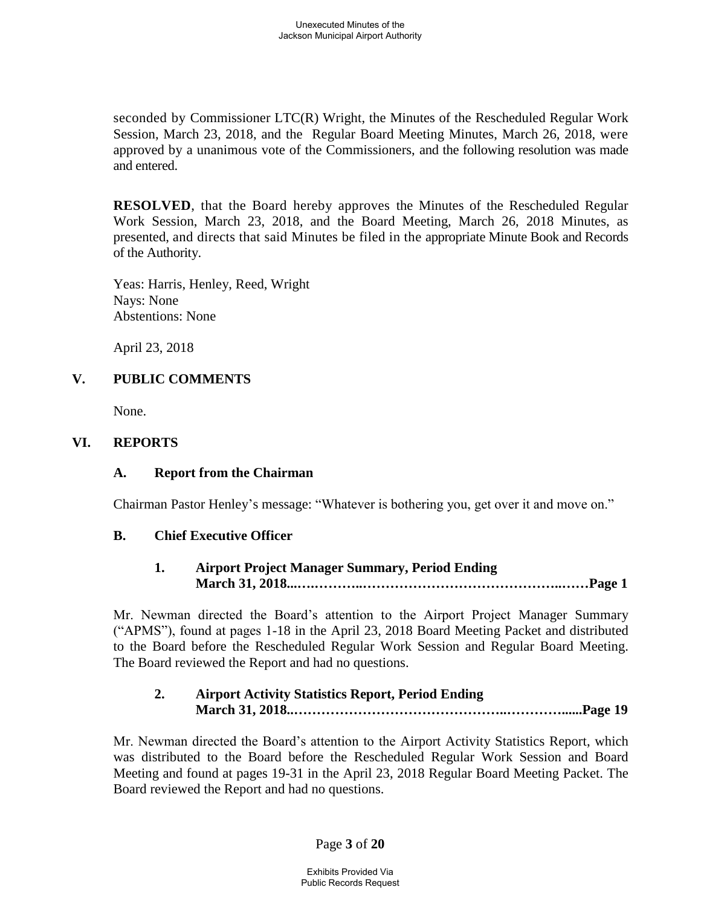seconded by Commissioner LTC(R) Wright, the Minutes of the Rescheduled Regular Work Session, March 23, 2018, and the Regular Board Meeting Minutes, March 26, 2018, were approved by a unanimous vote of the Commissioners, and the following resolution was made and entered.

**RESOLVED**, that the Board hereby approves the Minutes of the Rescheduled Regular Work Session, March 23, 2018, and the Board Meeting, March 26, 2018 Minutes, as presented, and directs that said Minutes be filed in the appropriate Minute Book and Records of the Authority.

Yeas: Harris, Henley, Reed, Wright Nays: None Abstentions: None

April 23, 2018

#### **V. PUBLIC COMMENTS**

None.

#### **VI. REPORTS**

#### **A. Report from the Chairman**

Chairman Pastor Henley's message: "Whatever is bothering you, get over it and move on."

#### **B. Chief Executive Officer**

**1. Airport Project Manager Summary, Period Ending March 31, 2018...….………..……………………………………..……Page 1**

Mr. Newman directed the Board's attention to the Airport Project Manager Summary ("APMS"), found at pages 1-18 in the April 23, 2018 Board Meeting Packet and distributed to the Board before the Rescheduled Regular Work Session and Regular Board Meeting. The Board reviewed the Report and had no questions.

## **2. Airport Activity Statistics Report, Period Ending March 31, 2018..………………………………………..…………......Page 19**

Mr. Newman directed the Board's attention to the Airport Activity Statistics Report, which was distributed to the Board before the Rescheduled Regular Work Session and Board Meeting and found at pages 19-31 in the April 23, 2018 Regular Board Meeting Packet. The Board reviewed the Report and had no questions.

Page **3** of **20**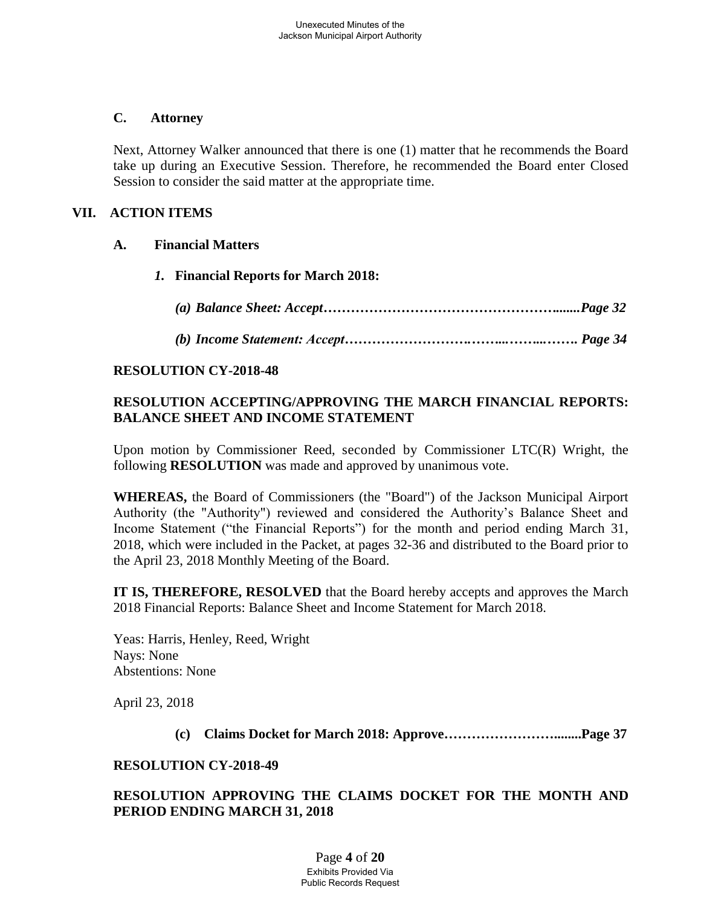### **C. Attorney**

Next, Attorney Walker announced that there is one (1) matter that he recommends the Board take up during an Executive Session. Therefore, he recommended the Board enter Closed Session to consider the said matter at the appropriate time.

### **VII. ACTION ITEMS**

#### **A. Financial Matters**

- *1.* **Financial Reports for March 2018:**
	- *(a) Balance Sheet: Accept…………………………………………….......Page 32*
	- *(b) Income Statement: Accept……………………….……...……...……. Page 34*

#### **RESOLUTION CY-2018-48**

## **RESOLUTION ACCEPTING/APPROVING THE MARCH FINANCIAL REPORTS: BALANCE SHEET AND INCOME STATEMENT**

Upon motion by Commissioner Reed, seconded by Commissioner LTC(R) Wright, the following **RESOLUTION** was made and approved by unanimous vote.

**WHEREAS,** the Board of Commissioners (the "Board") of the Jackson Municipal Airport Authority (the "Authority") reviewed and considered the Authority's Balance Sheet and Income Statement ("the Financial Reports") for the month and period ending March 31, 2018, which were included in the Packet, at pages 32-36 and distributed to the Board prior to the April 23, 2018 Monthly Meeting of the Board.

**IT IS, THEREFORE, RESOLVED** that the Board hereby accepts and approves the March 2018 Financial Reports: Balance Sheet and Income Statement for March 2018.

Yeas: Harris, Henley, Reed, Wright Nays: None Abstentions: None

April 23, 2018

**(c) Claims Docket for March 2018: Approve……………………........Page 37**

#### **RESOLUTION CY-2018-49**

#### **RESOLUTION APPROVING THE CLAIMS DOCKET FOR THE MONTH AND PERIOD ENDING MARCH 31, 2018**

Page **4** of **20** Exhibits Provided Via Public Records Request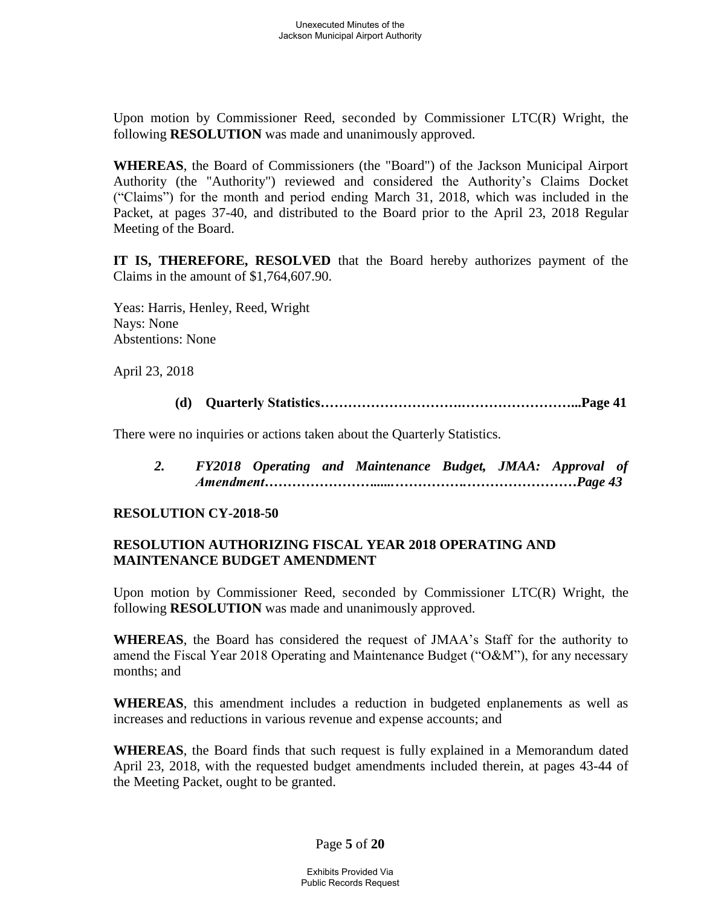Upon motion by Commissioner Reed, seconded by Commissioner LTC(R) Wright, the following **RESOLUTION** was made and unanimously approved.

**WHEREAS**, the Board of Commissioners (the "Board") of the Jackson Municipal Airport Authority (the "Authority") reviewed and considered the Authority's Claims Docket ("Claims") for the month and period ending March 31, 2018, which was included in the Packet, at pages 37-40, and distributed to the Board prior to the April 23, 2018 Regular Meeting of the Board.

**IT IS, THEREFORE, RESOLVED** that the Board hereby authorizes payment of the Claims in the amount of \$1,764,607.90.

Yeas: Harris, Henley, Reed, Wright Nays: None Abstentions: None

April 23, 2018

**(d) Quarterly Statistics………………………….……………………...Page 41**

There were no inquiries or actions taken about the Quarterly Statistics.

*2. FY2018 Operating and Maintenance Budget, JMAA: Approval of Amendment……………………......…………….……………………Page 43*

## **RESOLUTION CY-2018-50**

## **RESOLUTION AUTHORIZING FISCAL YEAR 2018 OPERATING AND MAINTENANCE BUDGET AMENDMENT**

Upon motion by Commissioner Reed, seconded by Commissioner LTC(R) Wright, the following **RESOLUTION** was made and unanimously approved.

**WHEREAS**, the Board has considered the request of JMAA's Staff for the authority to amend the Fiscal Year 2018 Operating and Maintenance Budget ("O&M"), for any necessary months; and

**WHEREAS**, this amendment includes a reduction in budgeted enplanements as well as increases and reductions in various revenue and expense accounts; and

**WHEREAS**, the Board finds that such request is fully explained in a Memorandum dated April 23, 2018, with the requested budget amendments included therein, at pages 43-44 of the Meeting Packet, ought to be granted.

Page **5** of **20**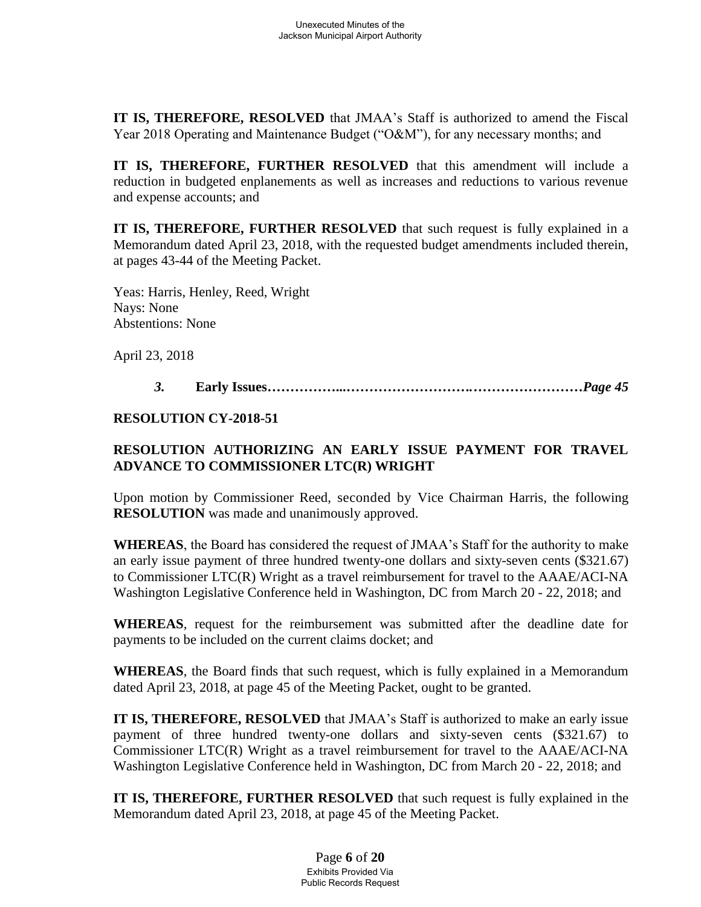**IT IS, THEREFORE, RESOLVED** that JMAA's Staff is authorized to amend the Fiscal Year 2018 Operating and Maintenance Budget ("O&M"), for any necessary months; and

**IT IS, THEREFORE, FURTHER RESOLVED** that this amendment will include a reduction in budgeted enplanements as well as increases and reductions to various revenue and expense accounts; and

**IT IS, THEREFORE, FURTHER RESOLVED** that such request is fully explained in a Memorandum dated April 23, 2018, with the requested budget amendments included therein, at pages 43-44 of the Meeting Packet.

Yeas: Harris, Henley, Reed, Wright Nays: None Abstentions: None

April 23, 2018

*3.* **Early Issues……………...***……………………….……………………Page 45* 

#### **RESOLUTION CY-2018-51**

# **RESOLUTION AUTHORIZING AN EARLY ISSUE PAYMENT FOR TRAVEL ADVANCE TO COMMISSIONER LTC(R) WRIGHT**

Upon motion by Commissioner Reed, seconded by Vice Chairman Harris, the following **RESOLUTION** was made and unanimously approved.

**WHEREAS**, the Board has considered the request of JMAA's Staff for the authority to make an early issue payment of three hundred twenty-one dollars and sixty-seven cents (\$321.67) to Commissioner LTC(R) Wright as a travel reimbursement for travel to the AAAE/ACI-NA Washington Legislative Conference held in Washington, DC from March 20 - 22, 2018; and

**WHEREAS**, request for the reimbursement was submitted after the deadline date for payments to be included on the current claims docket; and

**WHEREAS**, the Board finds that such request, which is fully explained in a Memorandum dated April 23, 2018, at page 45 of the Meeting Packet, ought to be granted.

**IT IS, THEREFORE, RESOLVED** that JMAA's Staff is authorized to make an early issue payment of three hundred twenty-one dollars and sixty-seven cents (\$321.67) to Commissioner LTC(R) Wright as a travel reimbursement for travel to the AAAE/ACI-NA Washington Legislative Conference held in Washington, DC from March 20 - 22, 2018; and

**IT IS, THEREFORE, FURTHER RESOLVED** that such request is fully explained in the Memorandum dated April 23, 2018, at page 45 of the Meeting Packet.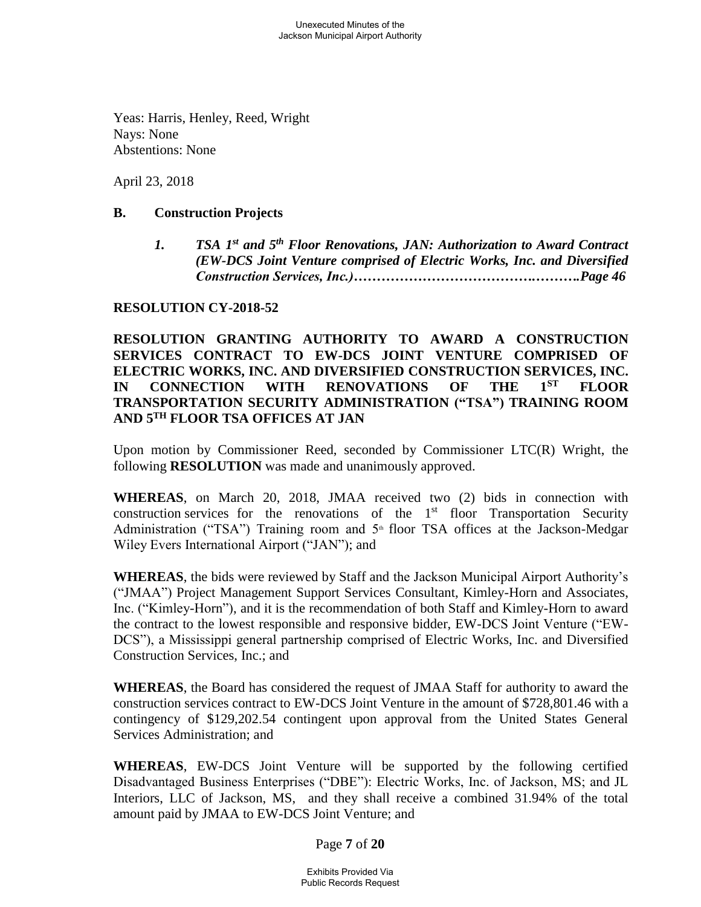Yeas: Harris, Henley, Reed, Wright Nays: None Abstentions: None

April 23, 2018

#### **B. Construction Projects**

*1. TSA 1st and 5th Floor Renovations, JAN: Authorization to Award Contract (EW-DCS Joint Venture comprised of Electric Works, Inc. and Diversified Construction Services, Inc.)………………………………….……….Page 46*

## **RESOLUTION CY-2018-52**

## **RESOLUTION GRANTING AUTHORITY TO AWARD A CONSTRUCTION SERVICES CONTRACT TO EW-DCS JOINT VENTURE COMPRISED OF ELECTRIC WORKS, INC. AND DIVERSIFIED CONSTRUCTION SERVICES, INC. IN CONNECTION WITH RENOVATIONS OF THE 1ST FLOOR TRANSPORTATION SECURITY ADMINISTRATION ("TSA") TRAINING ROOM AND 5TH FLOOR TSA OFFICES AT JAN**

Upon motion by Commissioner Reed, seconded by Commissioner LTC(R) Wright, the following **RESOLUTION** was made and unanimously approved.

**WHEREAS**, on March 20, 2018, JMAA received two (2) bids in connection with construction services for the renovations of the  $1<sup>st</sup>$  floor Transportation Security Administration ("TSA") Training room and  $5<sup>th</sup>$  floor TSA offices at the Jackson-Medgar Wiley Evers International Airport ("JAN"); and

**WHEREAS**, the bids were reviewed by Staff and the Jackson Municipal Airport Authority's ("JMAA") Project Management Support Services Consultant, Kimley-Horn and Associates, Inc. ("Kimley-Horn"), and it is the recommendation of both Staff and Kimley-Horn to award the contract to the lowest responsible and responsive bidder, EW-DCS Joint Venture ("EW-DCS"), a Mississippi general partnership comprised of Electric Works, Inc. and Diversified Construction Services, Inc.; and

**WHEREAS**, the Board has considered the request of JMAA Staff for authority to award the construction services contract to EW-DCS Joint Venture in the amount of \$728,801.46 with a contingency of \$129,202.54 contingent upon approval from the United States General Services Administration; and

**WHEREAS**, EW-DCS Joint Venture will be supported by the following certified Disadvantaged Business Enterprises ("DBE"): Electric Works, Inc. of Jackson, MS; and JL Interiors, LLC of Jackson, MS, and they shall receive a combined 31.94% of the total amount paid by JMAA to EW-DCS Joint Venture; and

Page **7** of **20**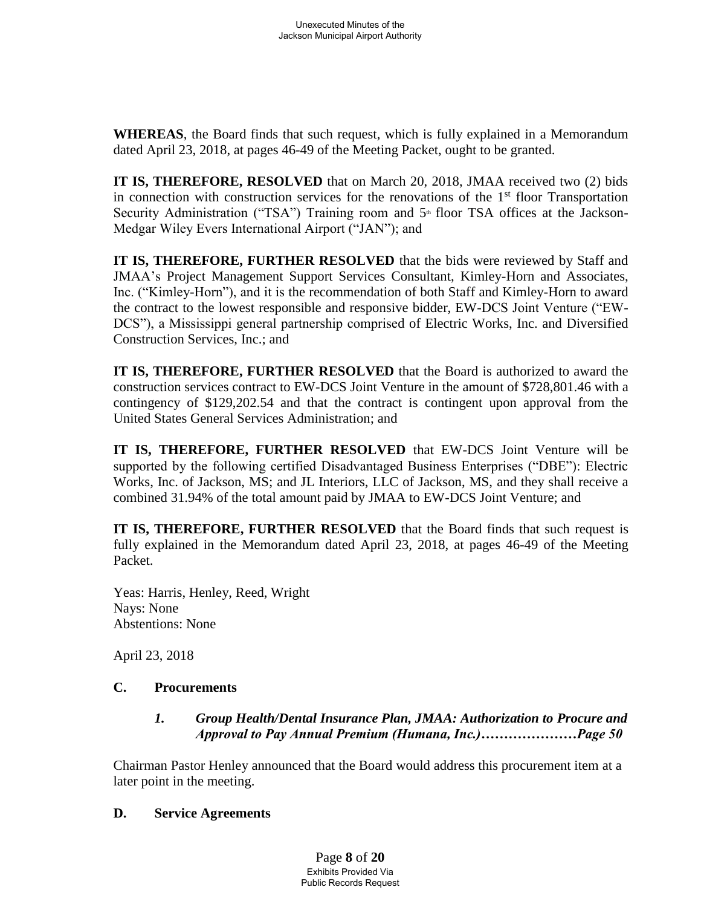**WHEREAS**, the Board finds that such request, which is fully explained in a Memorandum dated April 23, 2018, at pages 46-49 of the Meeting Packet, ought to be granted.

**IT IS, THEREFORE, RESOLVED** that on March 20, 2018, JMAA received two (2) bids in connection with construction services for the renovations of the  $1<sup>st</sup>$  floor Transportation Security Administration ("TSA") Training room and  $5<sup>th</sup>$  floor TSA offices at the Jackson-Medgar Wiley Evers International Airport ("JAN"); and

**IT IS, THEREFORE, FURTHER RESOLVED** that the bids were reviewed by Staff and JMAA's Project Management Support Services Consultant, Kimley-Horn and Associates, Inc. ("Kimley-Horn"), and it is the recommendation of both Staff and Kimley-Horn to award the contract to the lowest responsible and responsive bidder, EW-DCS Joint Venture ("EW-DCS"), a Mississippi general partnership comprised of Electric Works, Inc. and Diversified Construction Services, Inc.; and

**IT IS, THEREFORE, FURTHER RESOLVED** that the Board is authorized to award the construction services contract to EW-DCS Joint Venture in the amount of \$728,801.46 with a contingency of \$129,202.54 and that the contract is contingent upon approval from the United States General Services Administration; and

**IT IS, THEREFORE, FURTHER RESOLVED** that EW-DCS Joint Venture will be supported by the following certified Disadvantaged Business Enterprises ("DBE"): Electric Works, Inc. of Jackson, MS; and JL Interiors, LLC of Jackson, MS, and they shall receive a combined 31.94% of the total amount paid by JMAA to EW-DCS Joint Venture; and

**IT IS, THEREFORE, FURTHER RESOLVED** that the Board finds that such request is fully explained in the Memorandum dated April 23, 2018, at pages 46-49 of the Meeting Packet.

Yeas: Harris, Henley, Reed, Wright Nays: None Abstentions: None

April 23, 2018

## **C. Procurements**

## *1. Group Health/Dental Insurance Plan, JMAA: Authorization to Procure and Approval to Pay Annual Premium (Humana, Inc.)…………………Page 50*

Chairman Pastor Henley announced that the Board would address this procurement item at a later point in the meeting.

#### **D. Service Agreements**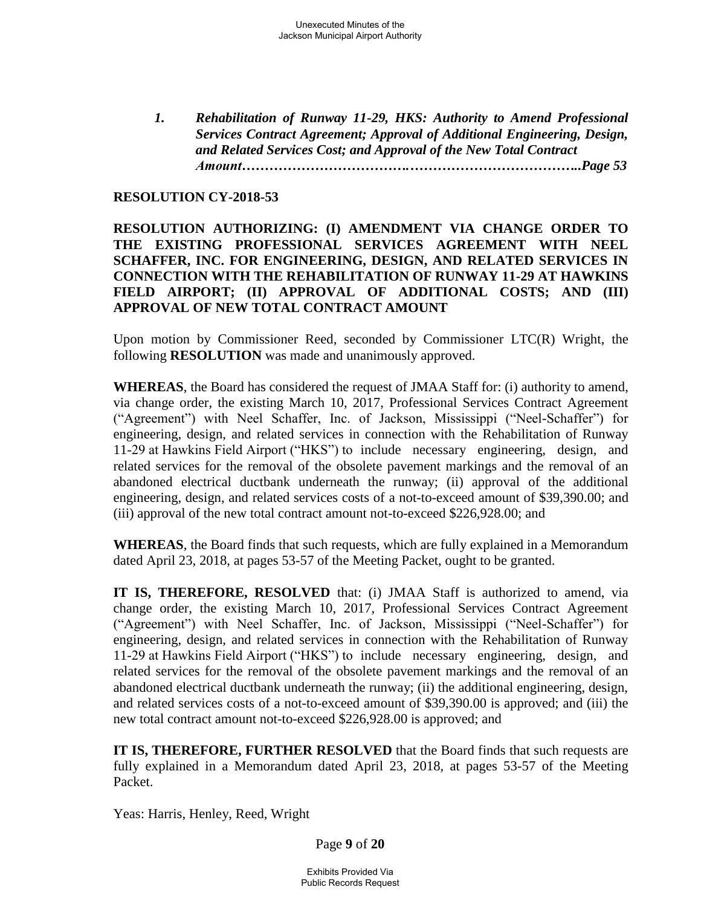*1. Rehabilitation of Runway 11-29, HKS: Authority to Amend Professional Services Contract Agreement; Approval of Additional Engineering, Design, and Related Services Cost; and Approval of the New Total Contract Amount……………………………….………………………………..Page 53*

#### **RESOLUTION CY-2018-53**

### **RESOLUTION AUTHORIZING: (I) AMENDMENT VIA CHANGE ORDER TO THE EXISTING PROFESSIONAL SERVICES AGREEMENT WITH NEEL SCHAFFER, INC. FOR ENGINEERING, DESIGN, AND RELATED SERVICES IN CONNECTION WITH THE REHABILITATION OF RUNWAY 11-29 AT HAWKINS FIELD AIRPORT; (II) APPROVAL OF ADDITIONAL COSTS; AND (III) APPROVAL OF NEW TOTAL CONTRACT AMOUNT**

Upon motion by Commissioner Reed, seconded by Commissioner LTC(R) Wright, the following **RESOLUTION** was made and unanimously approved.

**WHEREAS**, the Board has considered the request of JMAA Staff for: (i) authority to amend, via change order, the existing March 10, 2017, Professional Services Contract Agreement ("Agreement") with Neel Schaffer, Inc. of Jackson, Mississippi ("Neel-Schaffer") for engineering, design, and related services in connection with the Rehabilitation of Runway 11-29 at Hawkins Field Airport ("HKS") to include necessary engineering, design, and related services for the removal of the obsolete pavement markings and the removal of an abandoned electrical ductbank underneath the runway; (ii) approval of the additional engineering, design, and related services costs of a not-to-exceed amount of \$39,390.00; and (iii) approval of the new total contract amount not-to-exceed \$226,928.00; and

**WHEREAS**, the Board finds that such requests, which are fully explained in a Memorandum dated April 23, 2018, at pages 53-57 of the Meeting Packet, ought to be granted.

**IT IS, THEREFORE, RESOLVED** that: (i) JMAA Staff is authorized to amend, via change order, the existing March 10, 2017, Professional Services Contract Agreement ("Agreement") with Neel Schaffer, Inc. of Jackson, Mississippi ("Neel-Schaffer") for engineering, design, and related services in connection with the Rehabilitation of Runway 11-29 at Hawkins Field Airport ("HKS") to include necessary engineering, design, and related services for the removal of the obsolete pavement markings and the removal of an abandoned electrical ductbank underneath the runway; (ii) the additional engineering, design, and related services costs of a not-to-exceed amount of \$39,390.00 is approved; and (iii) the new total contract amount not-to-exceed \$226,928.00 is approved; and

**IT IS, THEREFORE, FURTHER RESOLVED** that the Board finds that such requests are fully explained in a Memorandum dated April 23, 2018, at pages 53-57 of the Meeting Packet.

Yeas: Harris, Henley, Reed, Wright

Page **9** of **20**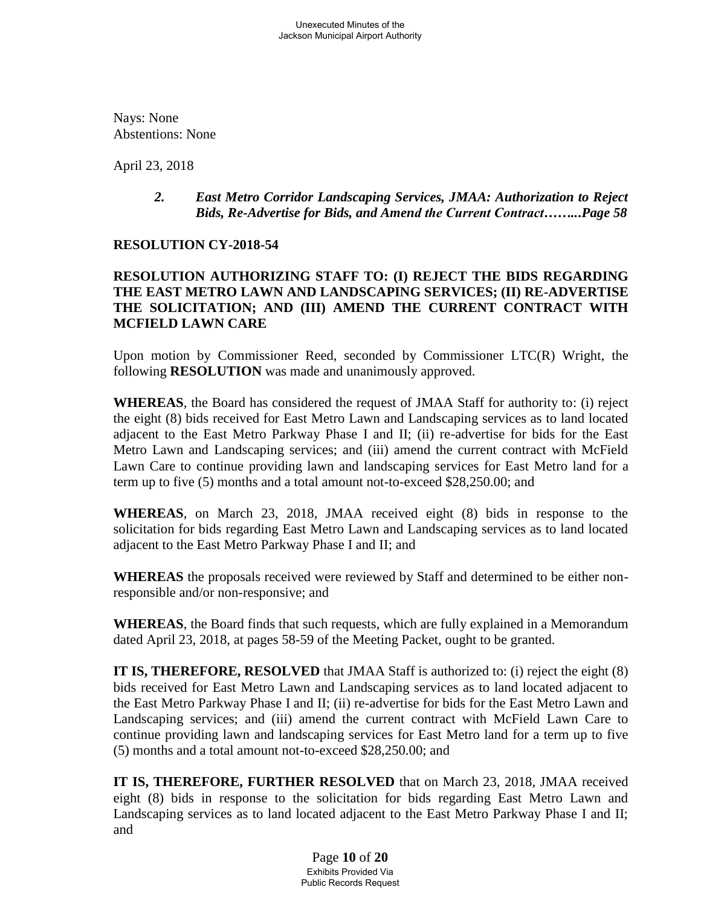Nays: None Abstentions: None

April 23, 2018

#### *2. East Metro Corridor Landscaping Services, JMAA: Authorization to Reject Bids, Re-Advertise for Bids, and Amend the Current Contract……...Page 58*

#### **RESOLUTION CY-2018-54**

## **RESOLUTION AUTHORIZING STAFF TO: (I) REJECT THE BIDS REGARDING THE EAST METRO LAWN AND LANDSCAPING SERVICES; (II) RE-ADVERTISE THE SOLICITATION; AND (III) AMEND THE CURRENT CONTRACT WITH MCFIELD LAWN CARE**

Upon motion by Commissioner Reed, seconded by Commissioner LTC(R) Wright, the following **RESOLUTION** was made and unanimously approved.

**WHEREAS**, the Board has considered the request of JMAA Staff for authority to: (i) reject the eight (8) bids received for East Metro Lawn and Landscaping services as to land located adjacent to the East Metro Parkway Phase I and II; (ii) re-advertise for bids for the East Metro Lawn and Landscaping services; and (iii) amend the current contract with McField Lawn Care to continue providing lawn and landscaping services for East Metro land for a term up to five (5) months and a total amount not-to-exceed \$28,250.00; and

**WHEREAS**, on March 23, 2018, JMAA received eight (8) bids in response to the solicitation for bids regarding East Metro Lawn and Landscaping services as to land located adjacent to the East Metro Parkway Phase I and II; and

**WHEREAS** the proposals received were reviewed by Staff and determined to be either nonresponsible and/or non-responsive; and

**WHEREAS**, the Board finds that such requests, which are fully explained in a Memorandum dated April 23, 2018, at pages 58-59 of the Meeting Packet, ought to be granted.

**IT IS, THEREFORE, RESOLVED** that JMAA Staff is authorized to: (i) reject the eight (8) bids received for East Metro Lawn and Landscaping services as to land located adjacent to the East Metro Parkway Phase I and II; (ii) re-advertise for bids for the East Metro Lawn and Landscaping services; and (iii) amend the current contract with McField Lawn Care to continue providing lawn and landscaping services for East Metro land for a term up to five (5) months and a total amount not-to-exceed \$28,250.00; and

**IT IS, THEREFORE, FURTHER RESOLVED** that on March 23, 2018, JMAA received eight (8) bids in response to the solicitation for bids regarding East Metro Lawn and Landscaping services as to land located adjacent to the East Metro Parkway Phase I and II; and

> Page **10** of **20** Exhibits Provided Via Public Records Request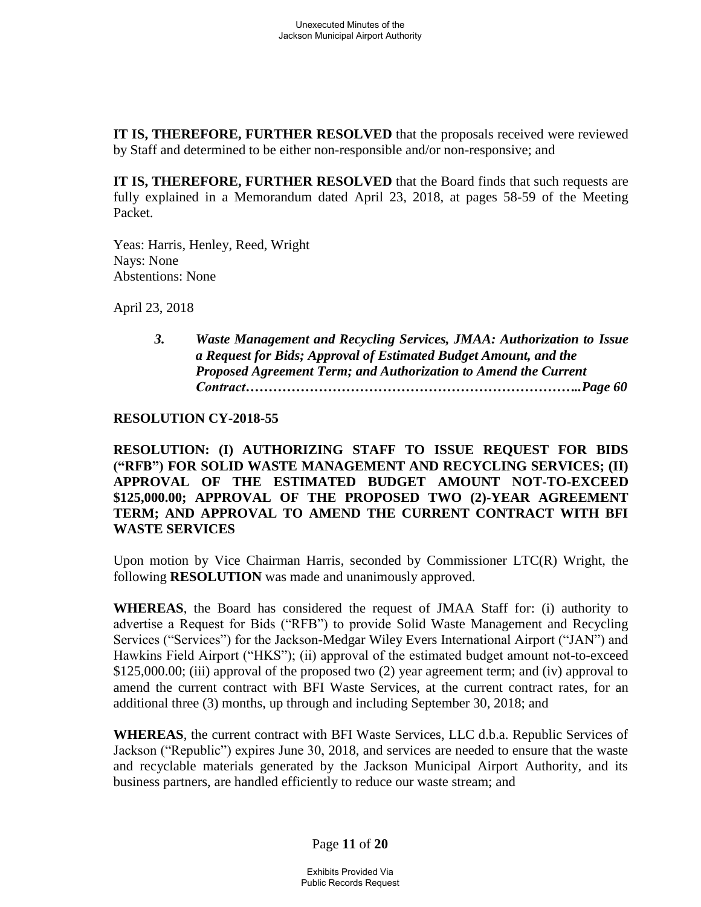**IT IS, THEREFORE, FURTHER RESOLVED** that the proposals received were reviewed by Staff and determined to be either non-responsible and/or non-responsive; and

**IT IS, THEREFORE, FURTHER RESOLVED** that the Board finds that such requests are fully explained in a Memorandum dated April 23, 2018, at pages 58-59 of the Meeting Packet.

Yeas: Harris, Henley, Reed, Wright Nays: None Abstentions: None

April 23, 2018

*3. Waste Management and Recycling Services, JMAA: Authorization to Issue a Request for Bids; Approval of Estimated Budget Amount, and the Proposed Agreement Term; and Authorization to Amend the Current Contract………………………………………………………………..Page 60*

#### **RESOLUTION CY-2018-55**

**RESOLUTION: (I) AUTHORIZING STAFF TO ISSUE REQUEST FOR BIDS ("RFB") FOR SOLID WASTE MANAGEMENT AND RECYCLING SERVICES; (II) APPROVAL OF THE ESTIMATED BUDGET AMOUNT NOT-TO-EXCEED \$125,000.00; APPROVAL OF THE PROPOSED TWO (2)-YEAR AGREEMENT TERM; AND APPROVAL TO AMEND THE CURRENT CONTRACT WITH BFI WASTE SERVICES** 

Upon motion by Vice Chairman Harris, seconded by Commissioner LTC(R) Wright, the following **RESOLUTION** was made and unanimously approved.

**WHEREAS**, the Board has considered the request of JMAA Staff for: (i) authority to advertise a Request for Bids ("RFB") to provide Solid Waste Management and Recycling Services ("Services") for the Jackson-Medgar Wiley Evers International Airport ("JAN") and Hawkins Field Airport ("HKS"); (ii) approval of the estimated budget amount not-to-exceed \$125,000.00; (iii) approval of the proposed two (2) year agreement term; and (iv) approval to amend the current contract with BFI Waste Services, at the current contract rates, for an additional three (3) months, up through and including September 30, 2018; and

**WHEREAS**, the current contract with BFI Waste Services, LLC d.b.a. Republic Services of Jackson ("Republic") expires June 30, 2018, and services are needed to ensure that the waste and recyclable materials generated by the Jackson Municipal Airport Authority, and its business partners, are handled efficiently to reduce our waste stream; and

Page **11** of **20**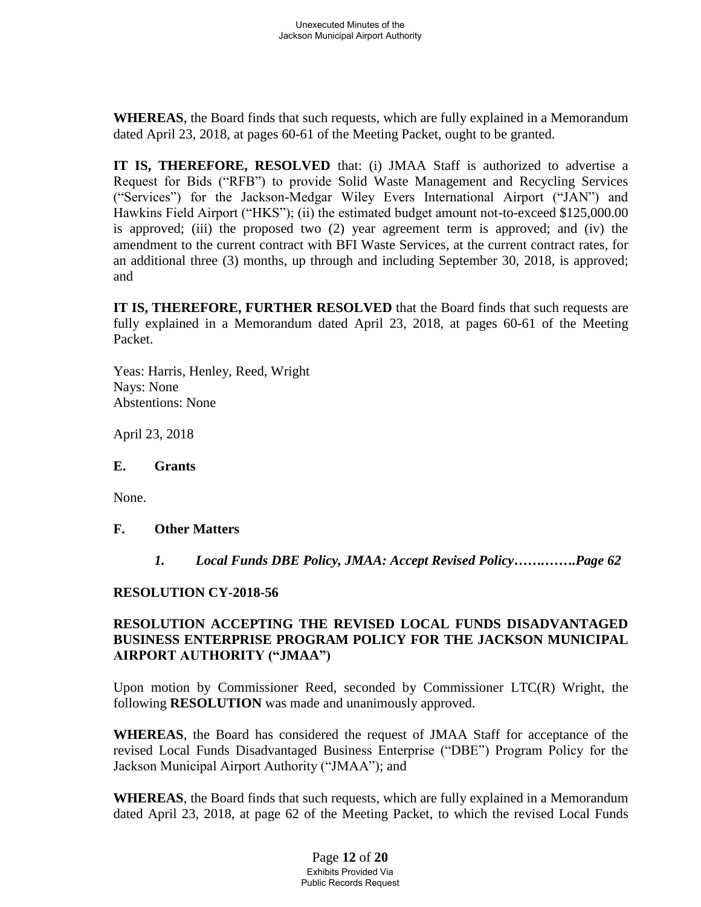**WHEREAS**, the Board finds that such requests, which are fully explained in a Memorandum dated April 23, 2018, at pages 60-61 of the Meeting Packet, ought to be granted.

**IT IS, THEREFORE, RESOLVED** that: (i) JMAA Staff is authorized to advertise a Request for Bids ("RFB") to provide Solid Waste Management and Recycling Services ("Services") for the Jackson-Medgar Wiley Evers International Airport ("JAN") and Hawkins Field Airport ("HKS"); (ii) the estimated budget amount not-to-exceed \$125,000.00 is approved; (iii) the proposed two (2) year agreement term is approved; and (iv) the amendment to the current contract with BFI Waste Services, at the current contract rates, for an additional three (3) months, up through and including September 30, 2018, is approved; and

**IT IS, THEREFORE, FURTHER RESOLVED** that the Board finds that such requests are fully explained in a Memorandum dated April 23, 2018, at pages 60-61 of the Meeting Packet.

Yeas: Harris, Henley, Reed, Wright Nays: None Abstentions: None

April 23, 2018

#### **E. Grants**

None.

## **F. Other Matters**

*1. Local Funds DBE Policy, JMAA: Accept Revised Policy…….…….Page 62*

#### **RESOLUTION CY-2018-56**

## **RESOLUTION ACCEPTING THE REVISED LOCAL FUNDS DISADVANTAGED BUSINESS ENTERPRISE PROGRAM POLICY FOR THE JACKSON MUNICIPAL AIRPORT AUTHORITY ("JMAA")**

Upon motion by Commissioner Reed, seconded by Commissioner LTC(R) Wright, the following **RESOLUTION** was made and unanimously approved.

**WHEREAS**, the Board has considered the request of JMAA Staff for acceptance of the revised Local Funds Disadvantaged Business Enterprise ("DBE") Program Policy for the Jackson Municipal Airport Authority ("JMAA"); and

**WHEREAS**, the Board finds that such requests, which are fully explained in a Memorandum dated April 23, 2018, at page 62 of the Meeting Packet, to which the revised Local Funds

> Page **12** of **20** Exhibits Provided Via Public Records Request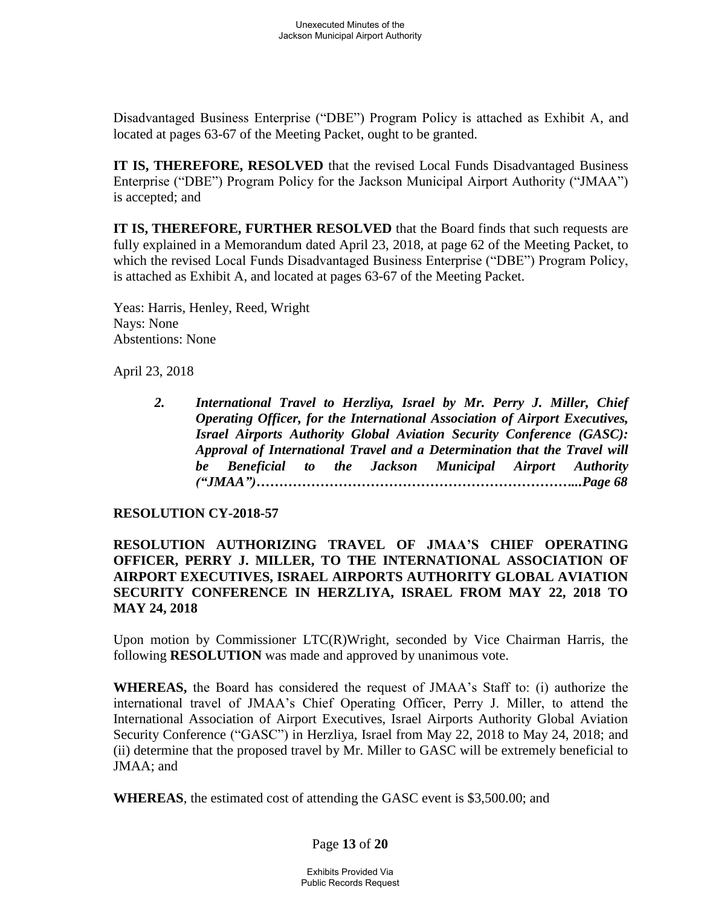Disadvantaged Business Enterprise ("DBE") Program Policy is attached as Exhibit A, and located at pages 63-67 of the Meeting Packet, ought to be granted.

**IT IS, THEREFORE, RESOLVED** that the revised Local Funds Disadvantaged Business Enterprise ("DBE") Program Policy for the Jackson Municipal Airport Authority ("JMAA") is accepted; and

**IT IS, THEREFORE, FURTHER RESOLVED** that the Board finds that such requests are fully explained in a Memorandum dated April 23, 2018, at page 62 of the Meeting Packet, to which the revised Local Funds Disadvantaged Business Enterprise ("DBE") Program Policy, is attached as Exhibit A, and located at pages 63-67 of the Meeting Packet.

Yeas: Harris, Henley, Reed, Wright Nays: None Abstentions: None

April 23, 2018

*2. International Travel to Herzliya, Israel by Mr. Perry J. Miller, Chief Operating Officer, for the International Association of Airport Executives, Israel Airports Authority Global Aviation Security Conference (GASC): Approval of International Travel and a Determination that the Travel will be Beneficial to the Jackson Municipal Airport Authority ("JMAA")……………………………………………………………...Page 68*

#### **RESOLUTION CY-2018-57**

### **RESOLUTION AUTHORIZING TRAVEL OF JMAA'S CHIEF OPERATING OFFICER, PERRY J. MILLER, TO THE INTERNATIONAL ASSOCIATION OF AIRPORT EXECUTIVES, ISRAEL AIRPORTS AUTHORITY GLOBAL AVIATION SECURITY CONFERENCE IN HERZLIYA, ISRAEL FROM MAY 22, 2018 TO MAY 24, 2018**

Upon motion by Commissioner LTC(R)Wright, seconded by Vice Chairman Harris, the following **RESOLUTION** was made and approved by unanimous vote.

**WHEREAS,** the Board has considered the request of JMAA's Staff to: (i) authorize the international travel of JMAA's Chief Operating Officer, Perry J. Miller, to attend the International Association of Airport Executives, Israel Airports Authority Global Aviation Security Conference ("GASC") in Herzliya, Israel from May 22, 2018 to May 24, 2018; and (ii) determine that the proposed travel by Mr. Miller to GASC will be extremely beneficial to JMAA; and

**WHEREAS**, the estimated cost of attending the GASC event is \$3,500.00; and

## Page **13** of **20**

Exhibits Provided Via Public Records Request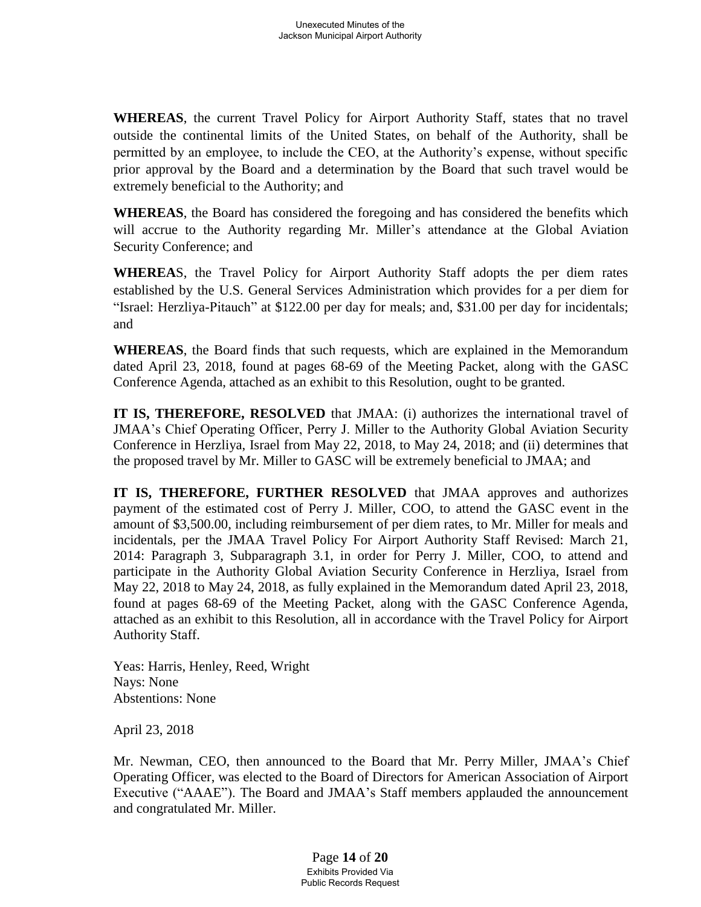**WHEREAS**, the current Travel Policy for Airport Authority Staff, states that no travel outside the continental limits of the United States, on behalf of the Authority, shall be permitted by an employee, to include the CEO, at the Authority's expense, without specific prior approval by the Board and a determination by the Board that such travel would be extremely beneficial to the Authority; and

**WHEREAS**, the Board has considered the foregoing and has considered the benefits which will accrue to the Authority regarding Mr. Miller's attendance at the Global Aviation Security Conference; and

**WHEREA**S, the Travel Policy for Airport Authority Staff adopts the per diem rates established by the U.S. General Services Administration which provides for a per diem for "Israel: Herzliya-Pitauch" at \$122.00 per day for meals; and, \$31.00 per day for incidentals; and

**WHEREAS**, the Board finds that such requests, which are explained in the Memorandum dated April 23, 2018, found at pages 68-69 of the Meeting Packet, along with the GASC Conference Agenda, attached as an exhibit to this Resolution, ought to be granted.

**IT IS, THEREFORE, RESOLVED** that JMAA: (i) authorizes the international travel of JMAA's Chief Operating Officer, Perry J. Miller to the Authority Global Aviation Security Conference in Herzliya, Israel from May 22, 2018, to May 24, 2018; and (ii) determines that the proposed travel by Mr. Miller to GASC will be extremely beneficial to JMAA; and

**IT IS, THEREFORE, FURTHER RESOLVED** that JMAA approves and authorizes payment of the estimated cost of Perry J. Miller, COO, to attend the GASC event in the amount of \$3,500.00, including reimbursement of per diem rates, to Mr. Miller for meals and incidentals, per the JMAA Travel Policy For Airport Authority Staff Revised: March 21, 2014: Paragraph 3, Subparagraph 3.1, in order for Perry J. Miller, COO, to attend and participate in the Authority Global Aviation Security Conference in Herzliya, Israel from May 22, 2018 to May 24, 2018, as fully explained in the Memorandum dated April 23, 2018, found at pages 68-69 of the Meeting Packet, along with the GASC Conference Agenda, attached as an exhibit to this Resolution, all in accordance with the Travel Policy for Airport Authority Staff.

Yeas: Harris, Henley, Reed, Wright Nays: None Abstentions: None

April 23, 2018

Mr. Newman, CEO, then announced to the Board that Mr. Perry Miller, JMAA's Chief Operating Officer, was elected to the Board of Directors for American Association of Airport Executive ("AAAE"). The Board and JMAA's Staff members applauded the announcement and congratulated Mr. Miller.

> Page **14** of **20** Exhibits Provided Via Public Records Request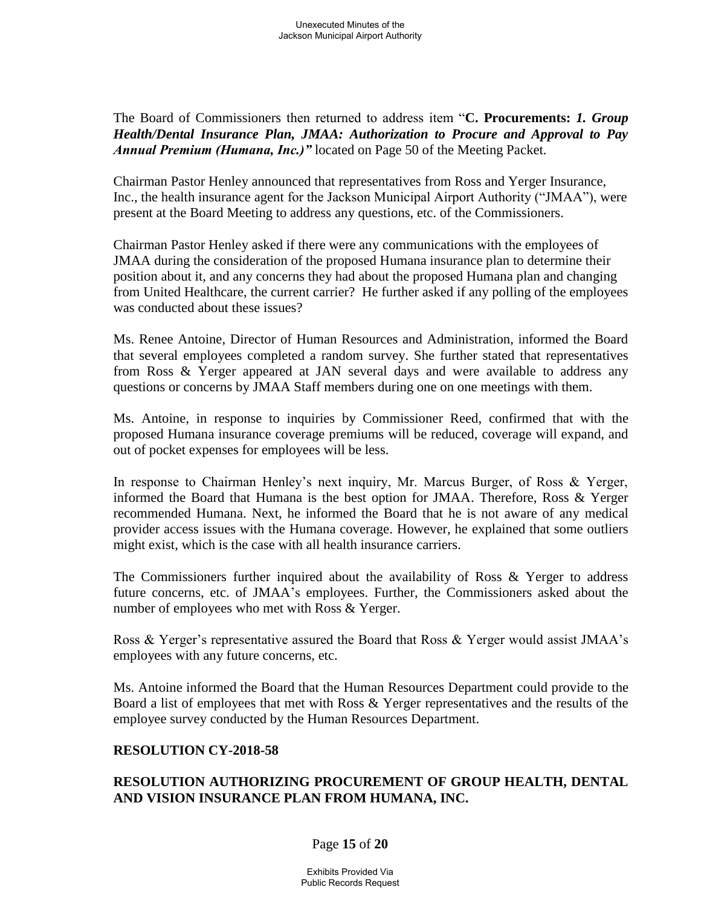The Board of Commissioners then returned to address item "**C. Procurements:** *1. Group Health/Dental Insurance Plan, JMAA: Authorization to Procure and Approval to Pay Annual Premium (Humana, Inc.)"* located on Page 50 of the Meeting Packet.

Chairman Pastor Henley announced that representatives from Ross and Yerger Insurance, Inc., the health insurance agent for the Jackson Municipal Airport Authority ("JMAA"), were present at the Board Meeting to address any questions, etc. of the Commissioners.

Chairman Pastor Henley asked if there were any communications with the employees of JMAA during the consideration of the proposed Humana insurance plan to determine their position about it, and any concerns they had about the proposed Humana plan and changing from United Healthcare, the current carrier? He further asked if any polling of the employees was conducted about these issues?

Ms. Renee Antoine, Director of Human Resources and Administration, informed the Board that several employees completed a random survey. She further stated that representatives from Ross & Yerger appeared at JAN several days and were available to address any questions or concerns by JMAA Staff members during one on one meetings with them.

Ms. Antoine, in response to inquiries by Commissioner Reed, confirmed that with the proposed Humana insurance coverage premiums will be reduced, coverage will expand, and out of pocket expenses for employees will be less.

In response to Chairman Henley's next inquiry, Mr. Marcus Burger, of Ross & Yerger, informed the Board that Humana is the best option for JMAA. Therefore, Ross & Yerger recommended Humana. Next, he informed the Board that he is not aware of any medical provider access issues with the Humana coverage. However, he explained that some outliers might exist, which is the case with all health insurance carriers.

The Commissioners further inquired about the availability of Ross & Yerger to address future concerns, etc. of JMAA's employees. Further, the Commissioners asked about the number of employees who met with Ross & Yerger.

Ross & Yerger's representative assured the Board that Ross & Yerger would assist JMAA's employees with any future concerns, etc.

Ms. Antoine informed the Board that the Human Resources Department could provide to the Board a list of employees that met with Ross & Yerger representatives and the results of the employee survey conducted by the Human Resources Department.

## **RESOLUTION CY-2018-58**

## **RESOLUTION AUTHORIZING PROCUREMENT OF GROUP HEALTH, DENTAL AND VISION INSURANCE PLAN FROM HUMANA, INC.**

## Page **15** of **20**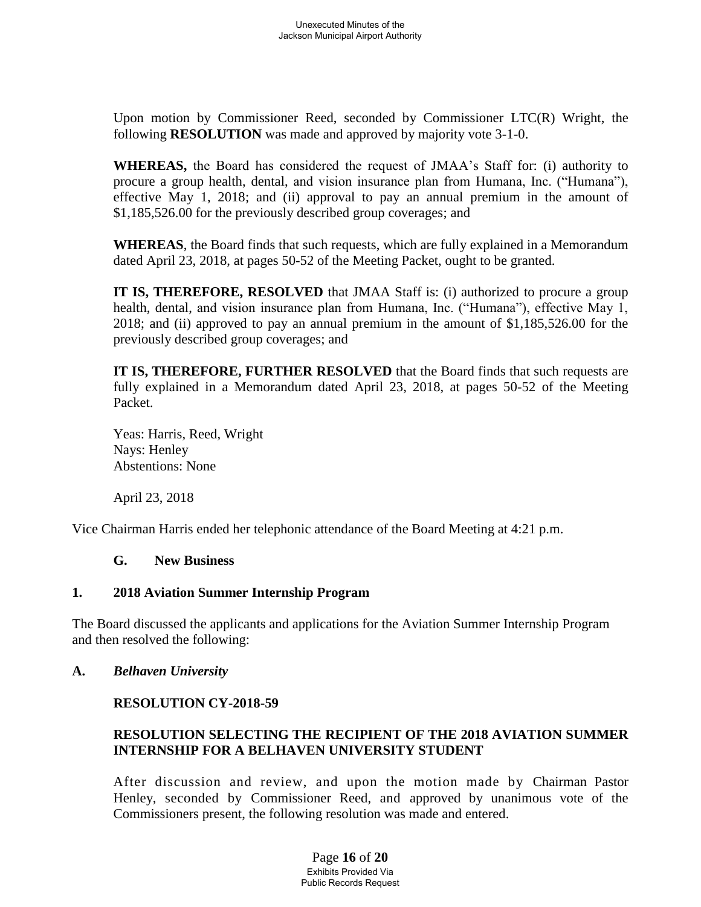Upon motion by Commissioner Reed, seconded by Commissioner LTC(R) Wright, the following **RESOLUTION** was made and approved by majority vote 3-1-0.

**WHEREAS,** the Board has considered the request of JMAA's Staff for: (i) authority to procure a group health, dental, and vision insurance plan from Humana, Inc. ("Humana"), effective May 1, 2018; and (ii) approval to pay an annual premium in the amount of \$1,185,526.00 for the previously described group coverages; and

**WHEREAS**, the Board finds that such requests, which are fully explained in a Memorandum dated April 23, 2018, at pages 50-52 of the Meeting Packet, ought to be granted.

**IT IS, THEREFORE, RESOLVED** that JMAA Staff is: (i) authorized to procure a group health, dental, and vision insurance plan from Humana, Inc. ("Humana"), effective May 1, 2018; and (ii) approved to pay an annual premium in the amount of \$1,185,526.00 for the previously described group coverages; and

**IT IS, THEREFORE, FURTHER RESOLVED** that the Board finds that such requests are fully explained in a Memorandum dated April 23, 2018, at pages 50-52 of the Meeting Packet.

Yeas: Harris, Reed, Wright Nays: Henley Abstentions: None

April 23, 2018

Vice Chairman Harris ended her telephonic attendance of the Board Meeting at 4:21 p.m.

#### **G. New Business**

## **1. 2018 Aviation Summer Internship Program**

The Board discussed the applicants and applications for the Aviation Summer Internship Program and then resolved the following:

## **A.** *Belhaven University*

## **RESOLUTION CY-2018-59**

## **RESOLUTION SELECTING THE RECIPIENT OF THE 2018 AVIATION SUMMER INTERNSHIP FOR A BELHAVEN UNIVERSITY STUDENT**

After discussion and review, and upon the motion made by Chairman Pastor Henley, seconded by Commissioner Reed, and approved by unanimous vote of the Commissioners present, the following resolution was made and entered.

> Page **16** of **20** Exhibits Provided Via Public Records Request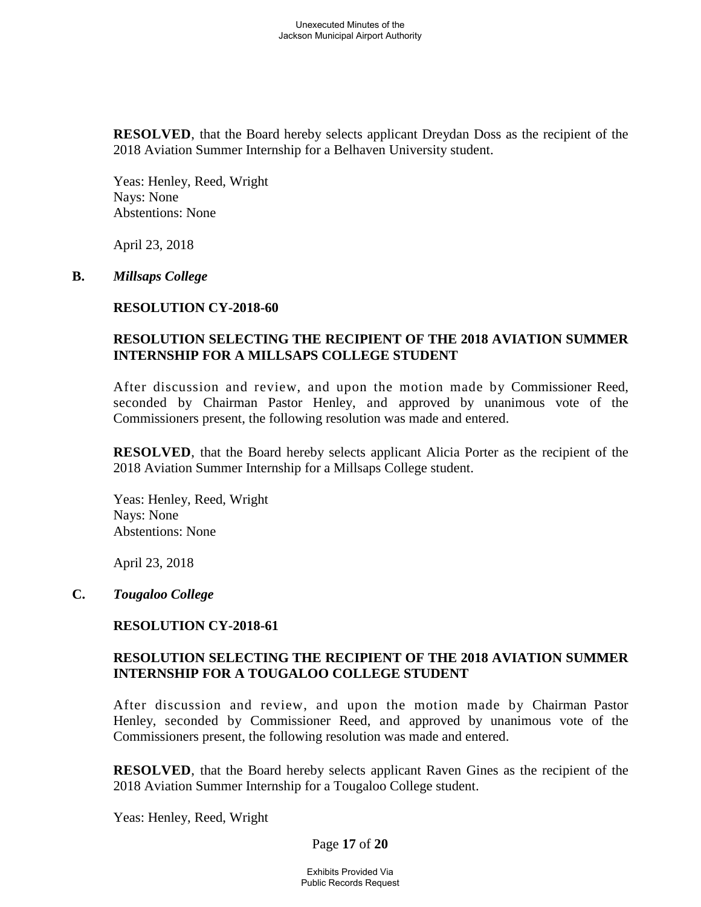**RESOLVED**, that the Board hereby selects applicant Dreydan Doss as the recipient of the 2018 Aviation Summer Internship for a Belhaven University student.

Yeas: Henley, Reed, Wright Nays: None Abstentions: None

April 23, 2018

#### **B.** *Millsaps College*

#### **RESOLUTION CY-2018-60**

### **RESOLUTION SELECTING THE RECIPIENT OF THE 2018 AVIATION SUMMER INTERNSHIP FOR A MILLSAPS COLLEGE STUDENT**

After discussion and review, and upon the motion made by Commissioner Reed, seconded by Chairman Pastor Henley, and approved by unanimous vote of the Commissioners present, the following resolution was made and entered.

**RESOLVED**, that the Board hereby selects applicant Alicia Porter as the recipient of the 2018 Aviation Summer Internship for a Millsaps College student.

Yeas: Henley, Reed, Wright Nays: None Abstentions: None

April 23, 2018

#### **C.** *Tougaloo College*

## **RESOLUTION CY-2018-61**

#### **RESOLUTION SELECTING THE RECIPIENT OF THE 2018 AVIATION SUMMER INTERNSHIP FOR A TOUGALOO COLLEGE STUDENT**

After discussion and review, and upon the motion made by Chairman Pastor Henley, seconded by Commissioner Reed, and approved by unanimous vote of the Commissioners present, the following resolution was made and entered.

**RESOLVED**, that the Board hereby selects applicant Raven Gines as the recipient of the 2018 Aviation Summer Internship for a Tougaloo College student.

Yeas: Henley, Reed, Wright

Page **17** of **20**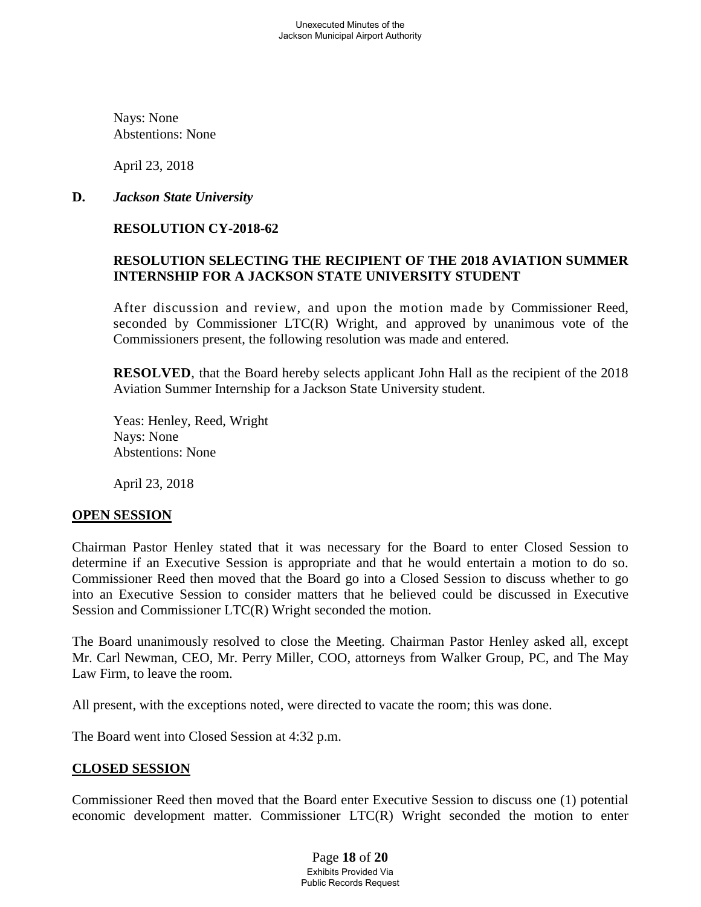Nays: None Abstentions: None

April 23, 2018

## **D.** *Jackson State University*

# **RESOLUTION CY-2018-62**

## **RESOLUTION SELECTING THE RECIPIENT OF THE 2018 AVIATION SUMMER INTERNSHIP FOR A JACKSON STATE UNIVERSITY STUDENT**

After discussion and review, and upon the motion made by Commissioner Reed, seconded by Commissioner LTC(R) Wright, and approved by unanimous vote of the Commissioners present, the following resolution was made and entered.

**RESOLVED**, that the Board hereby selects applicant John Hall as the recipient of the 2018 Aviation Summer Internship for a Jackson State University student.

Yeas: Henley, Reed, Wright Nays: None Abstentions: None

April 23, 2018

## **OPEN SESSION**

Chairman Pastor Henley stated that it was necessary for the Board to enter Closed Session to determine if an Executive Session is appropriate and that he would entertain a motion to do so. Commissioner Reed then moved that the Board go into a Closed Session to discuss whether to go into an Executive Session to consider matters that he believed could be discussed in Executive Session and Commissioner LTC(R) Wright seconded the motion.

The Board unanimously resolved to close the Meeting. Chairman Pastor Henley asked all, except Mr. Carl Newman, CEO, Mr. Perry Miller, COO, attorneys from Walker Group, PC, and The May Law Firm, to leave the room.

All present, with the exceptions noted, were directed to vacate the room; this was done.

The Board went into Closed Session at 4:32 p.m.

## **CLOSED SESSION**

Commissioner Reed then moved that the Board enter Executive Session to discuss one (1) potential economic development matter. Commissioner LTC(R) Wright seconded the motion to enter

> Page **18** of **20** Exhibits Provided Via Public Records Request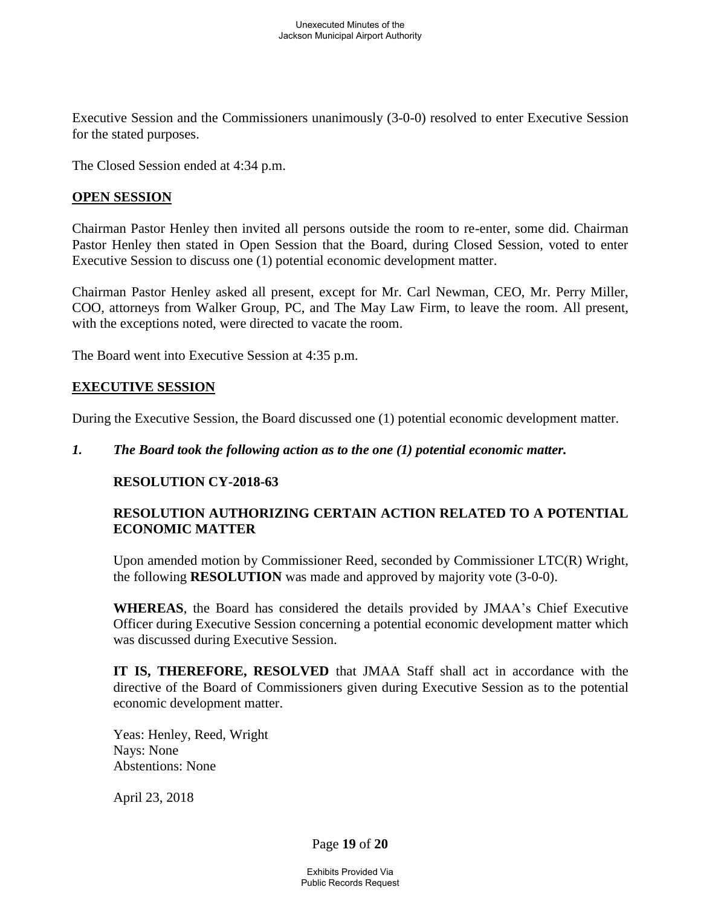Executive Session and the Commissioners unanimously (3-0-0) resolved to enter Executive Session for the stated purposes.

The Closed Session ended at 4:34 p.m.

#### **OPEN SESSION**

Chairman Pastor Henley then invited all persons outside the room to re-enter, some did. Chairman Pastor Henley then stated in Open Session that the Board, during Closed Session, voted to enter Executive Session to discuss one (1) potential economic development matter.

Chairman Pastor Henley asked all present, except for Mr. Carl Newman, CEO, Mr. Perry Miller, COO, attorneys from Walker Group, PC, and The May Law Firm, to leave the room. All present, with the exceptions noted, were directed to vacate the room.

The Board went into Executive Session at 4:35 p.m.

#### **EXECUTIVE SESSION**

During the Executive Session, the Board discussed one (1) potential economic development matter.

#### *1. The Board took the following action as to the one (1) potential economic matter.*

## **RESOLUTION CY-2018-63**

## **RESOLUTION AUTHORIZING CERTAIN ACTION RELATED TO A POTENTIAL ECONOMIC MATTER**

Upon amended motion by Commissioner Reed, seconded by Commissioner LTC(R) Wright, the following **RESOLUTION** was made and approved by majority vote (3-0-0).

**WHEREAS**, the Board has considered the details provided by JMAA's Chief Executive Officer during Executive Session concerning a potential economic development matter which was discussed during Executive Session.

**IT IS, THEREFORE, RESOLVED** that JMAA Staff shall act in accordance with the directive of the Board of Commissioners given during Executive Session as to the potential economic development matter.

Yeas: Henley, Reed, Wright Nays: None Abstentions: None

April 23, 2018

Page **19** of **20**